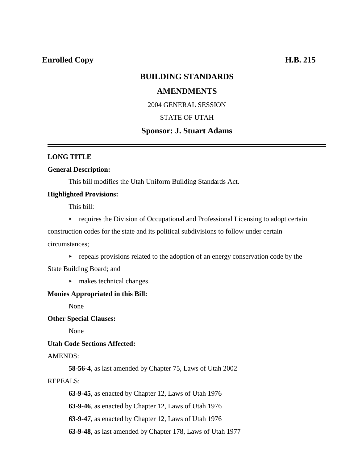# **Enrolled Copy H.B. 215**

# **BUILDING STANDARDS**

# **AMENDMENTS**

2004 GENERAL SESSION

## STATE OF UTAH

# **Sponsor: J. Stuart Adams**

## **LONG TITLE**

## **General Description:**

This bill modifies the Utah Uniform Building Standards Act.

## **Highlighted Provisions:**

This bill:

 $\triangleright$  requires the Division of Occupational and Professional Licensing to adopt certain

construction codes for the state and its political subdivisions to follow under certain circumstances;

 $\rightarrow$  repeals provisions related to the adoption of an energy conservation code by the

State Building Board; and

 $\blacktriangleright$  makes technical changes.

## **Monies Appropriated in this Bill:**

None

**Other Special Clauses:**

None

### **Utah Code Sections Affected:**

## AMENDS:

**58-56-4**, as last amended by Chapter 75, Laws of Utah 2002

## REPEALS:

**63-9-45**, as enacted by Chapter 12, Laws of Utah 1976

**63-9-46**, as enacted by Chapter 12, Laws of Utah 1976

**63-9-47**, as enacted by Chapter 12, Laws of Utah 1976

**63-9-48**, as last amended by Chapter 178, Laws of Utah 1977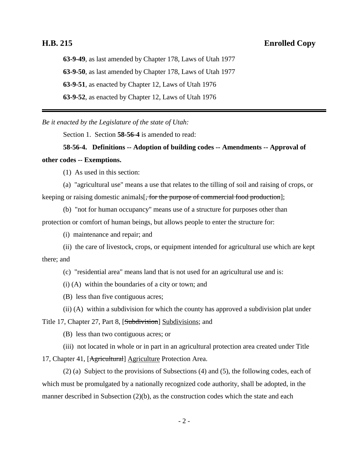# **H.B. 215 Enrolled Copy**

**63-9-49**, as last amended by Chapter 178, Laws of Utah 1977 **63-9-50**, as last amended by Chapter 178, Laws of Utah 1977 **63-9-51**, as enacted by Chapter 12, Laws of Utah 1976 **63-9-52**, as enacted by Chapter 12, Laws of Utah 1976

*Be it enacted by the Legislature of the state of Utah:*

Section 1. Section **58-56-4** is amended to read:

**58-56-4. Definitions -- Adoption of building codes -- Amendments -- Approval of other codes -- Exemptions.**

(1) As used in this section:

(a) "agricultural use" means a use that relates to the tilling of soil and raising of crops, or keeping or raising domestic animals, for the purpose of commercial food production];

(b) "not for human occupancy" means use of a structure for purposes other than protection or comfort of human beings, but allows people to enter the structure for:

(i) maintenance and repair; and

(ii) the care of livestock, crops, or equipment intended for agricultural use which are kept there; and

(c) "residential area" means land that is not used for an agricultural use and is:

(i) (A) within the boundaries of a city or town; and

(B) less than five contiguous acres;

(ii) (A) within a subdivision for which the county has approved a subdivision plat under

Title 17, Chapter 27, Part 8, [Subdivision] Subdivisions; and

(B) less than two contiguous acres; or

(iii) not located in whole or in part in an agricultural protection area created under Title

17, Chapter 41, [Agricultural] Agriculture Protection Area.

(2) (a) Subject to the provisions of Subsections (4) and (5), the following codes, each of which must be promulgated by a nationally recognized code authority, shall be adopted, in the manner described in Subsection (2)(b), as the construction codes which the state and each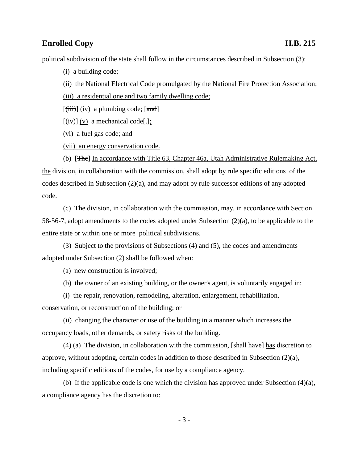# **Enrolled Copy H.B. 215**

political subdivision of the state shall follow in the circumstances described in Subsection (3):

(i) a building code;

(ii) the National Electrical Code promulgated by the National Fire Protection Association;

(iii) a residential one and two family dwelling code;

 $[\overline{\text{(iii)}}]$  (iv) a plumbing code;  $[\overline{\text{and}}]$ 

 $[\overline{(iv)}](v)$  a mechanical code[ $:$ ];

(vi) a fuel gas code; and

(vii) an energy conservation code.

(b) [The] In accordance with Title 63, Chapter 46a, Utah Administrative Rulemaking Act, the division, in collaboration with the commission, shall adopt by rule specific editions of the codes described in Subsection (2)(a), and may adopt by rule successor editions of any adopted code.

(c) The division, in collaboration with the commission, may, in accordance with Section 58-56-7, adopt amendments to the codes adopted under Subsection (2)(a), to be applicable to the entire state or within one or more political subdivisions.

(3) Subject to the provisions of Subsections (4) and (5), the codes and amendments adopted under Subsection (2) shall be followed when:

(a) new construction is involved;

(b) the owner of an existing building, or the owner's agent, is voluntarily engaged in:

(i) the repair, renovation, remodeling, alteration, enlargement, rehabilitation, conservation, or reconstruction of the building; or

(ii) changing the character or use of the building in a manner which increases the occupancy loads, other demands, or safety risks of the building.

(4) (a) The division, in collaboration with the commission,  $[\text{shall have}]$  has discretion to approve, without adopting, certain codes in addition to those described in Subsection (2)(a), including specific editions of the codes, for use by a compliance agency.

(b) If the applicable code is one which the division has approved under Subsection (4)(a), a compliance agency has the discretion to: